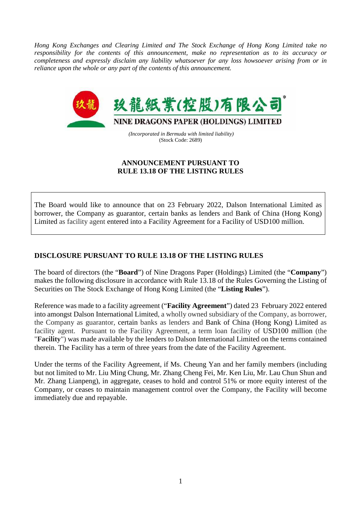*Hong Kong Exchanges and Clearing Limited and The Stock Exchange of Hong Kong Limited take no responsibility for the contents of this announcement, make no representation as to its accuracy or completeness and expressly disclaim any liability whatsoever for any loss howsoever arising from or in reliance upon the whole or any part of the contents of this announcement.*



 *(Incorporated in Bermuda with limited liability)*  (Stock Code: 2689)

## **ANNOUNCEMENT PURSUANT TO RULE 13.18 OF THE LISTING RULES**

The Board would like to announce that on 23 February 2022, Dalson International Limited as borrower, the Company as guarantor, certain banks as lenders and Bank of China (Hong Kong) Limited as facility agent entered into a Facility Agreement for a Facility of USD100 million.

## **DISCLOSURE PURSUANT TO RULE 13.18 OF THE LISTING RULES**

The board of directors (the "**Board**") of Nine Dragons Paper (Holdings) Limited (the "**Company**") makes the following disclosure in accordance with Rule 13.18 of the Rules Governing the Listing of Securities on The Stock Exchange of Hong Kong Limited (the "**Listing Rules**").

Reference was made to a facility agreement ("**Facility Agreement**") dated 23 February 2022 entered into amongst Dalson International Limited, a wholly owned subsidiary of the Company, as borrower, the Company as guarantor, certain banks as lenders and Bank of China (Hong Kong) Limited as facility agent. Pursuant to the Facility Agreement, a term loan facility of USD100 million (the "**Facility**") was made available by the lenders to Dalson International Limited on the terms contained therein. The Facility has a term of three years from the date of the Facility Agreement.

Under the terms of the Facility Agreement, if Ms. Cheung Yan and her family members (including but not limited to Mr. Liu Ming Chung, Mr. Zhang Cheng Fei, Mr. Ken Liu, Mr. Lau Chun Shun and Mr. Zhang Lianpeng), in aggregate, ceases to hold and control 51% or more equity interest of the Company, or ceases to maintain management control over the Company, the Facility will become immediately due and repayable.